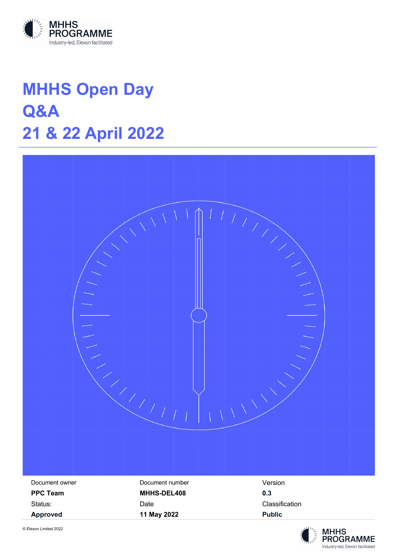

# **MHHS Open Day Q&A 21 & 22 April 2022**



**MHHS** 

**PROGRAMME** Industry-led, Elexon facilitated

© Elexon Limited 2022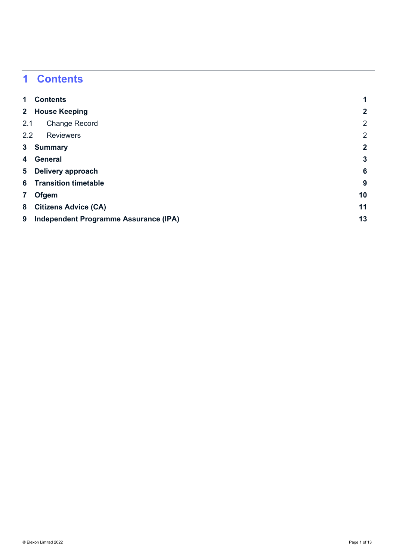## **Contents**

| $\mathbf{1}$            | <b>Contents</b>                       |                |
|-------------------------|---------------------------------------|----------------|
|                         | 2 House Keeping                       | $\mathbf{2}$   |
| 2.1                     | <b>Change Record</b>                  | 2              |
| 2.2                     | <b>Reviewers</b>                      | 2              |
| 3 <sup>1</sup>          | <b>Summary</b>                        | $\overline{2}$ |
| 4                       | <b>General</b>                        | $\overline{3}$ |
| 5                       | Delivery approach                     | 6              |
|                         | <b>6</b> Transition timetable         | 9              |
| $\overline{\mathbf{7}}$ | <b>Ofgem</b>                          | 10             |
| 8                       | <b>Citizens Advice (CA)</b>           | 11             |
| 9                       | Independent Programme Assurance (IPA) | 13             |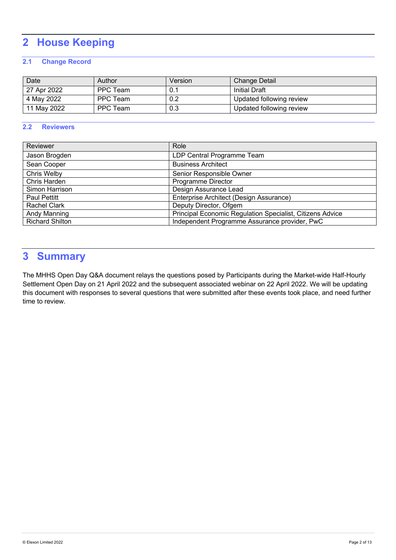## **2 House Keeping**

#### **2.1 Change Record**

| Date        | Author   | Version | <b>Change Detail</b>     |
|-------------|----------|---------|--------------------------|
| 27 Apr 2022 | PPC Team | 0.1     | Initial Draft            |
| 4 May 2022  | PPC Team | 0.2     | Updated following review |
| 11 May 2022 | PPC Team | 0.3     | Updated following review |

#### **2.2 Reviewers**

| Reviewer               | Role                                                      |
|------------------------|-----------------------------------------------------------|
| Jason Brogden          | LDP Central Programme Team                                |
| Sean Cooper            | <b>Business Architect</b>                                 |
| Chris Welby            | Senior Responsible Owner                                  |
| Chris Harden           | Programme Director                                        |
| Simon Harrison         | Design Assurance Lead                                     |
| <b>Paul Pettitt</b>    | Enterprise Architect (Design Assurance)                   |
| Rachel Clark           | Deputy Director, Ofgem                                    |
| Andy Manning           | Principal Economic Regulation Specialist, Citizens Advice |
| <b>Richard Shilton</b> | Independent Programme Assurance provider, PwC             |

## **3 Summary**

The MHHS Open Day Q&A document relays the questions posed by Participants during the Market-wide Half-Hourly Settlement Open Day on 21 April 2022 and the subsequent associated webinar on 22 April 2022. We will be updating this document with responses to several questions that were submitted after these events took place, and need further time to review.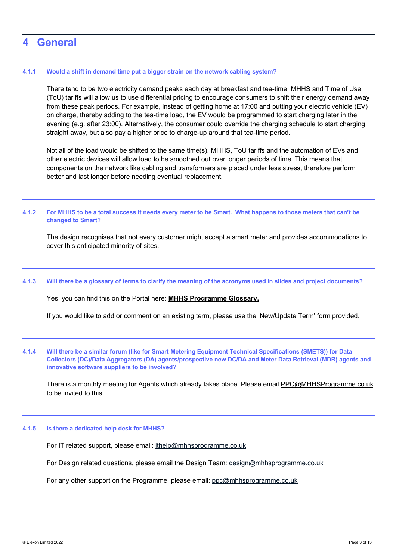### **4 General**

#### **4.1.1 Would a shift in demand time put a bigger strain on the network cabling system?**

There tend to be two electricity demand peaks each day at breakfast and tea-time. MHHS and Time of Use (ToU) tariffs will allow us to use differential pricing to encourage consumers to shift their energy demand away from these peak periods. For example, instead of getting home at 17:00 and putting your electric vehicle (EV) on charge, thereby adding to the tea-time load, the EV would be programmed to start charging later in the evening (e.g. after 23:00). Alternatively, the consumer could override the charging schedule to start charging straight away, but also pay a higher price to charge-up around that tea-time period.

Not all of the load would be shifted to the same time(s). MHHS, ToU tariffs and the automation of EVs and other electric devices will allow load to be smoothed out over longer periods of time. This means that components on the network like cabling and transformers are placed under less stress, therefore perform better and last longer before needing eventual replacement.

#### **4.1.2 For MHHS to be a total success it needs every meter to be Smart. What happens to those meters that can't be changed to Smart?**

The design recognises that not every customer might accept a smart meter and provides accommodations to cover this anticipated minority of sites.

#### **4.1.3 Will there be a glossary of terms to clarify the meaning of the acronyms used in slides and project documents?**

Yes, you can find this on the Portal here: **MHHS Programme Glossary.**

If you would like to add or comment on an existing term, please use the 'New/Update Term' form provided.

#### **4.1.4 Will there be a similar forum (like for Smart Metering Equipment Technical Specifications (SMETS)) for Data Collectors (DC)/Data Aggregators (DA) agents/prospective new DC/DA and Meter Data Retrieval (MDR) agents and innovative software suppliers to be involved?**

There is a monthly meeting for Agents which already takes place. Please email PPC@MHHSProgramme.co.uk to be invited to this.

#### **4.1.5 Is there a dedicated help desk for MHHS?**

For IT related support, please email: ithelp@mhhsprogramme.co.uk

For Design related questions, please email the Design Team: design@mhhsprogramme.co.uk

For any other support on the Programme, please email: ppc@mhhsprogramme.co.uk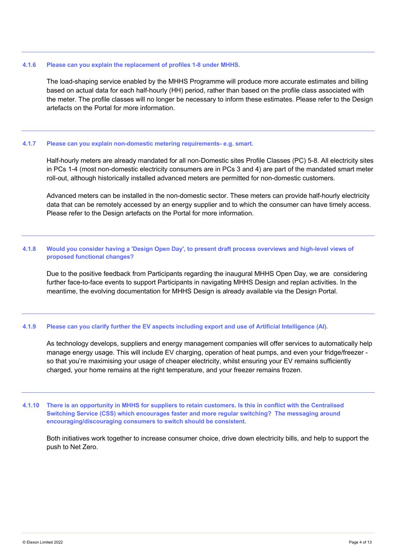#### **4.1.6 Please can you explain the replacement of profiles 1-8 under MHHS.**

The load-shaping service enabled by the MHHS Programme will produce more accurate estimates and billing based on actual data for each half-hourly (HH) period, rather than based on the profile class associated with the meter. The profile classes will no longer be necessary to inform these estimates. Please refer to the Design artefacts on the Portal for more information.

#### **4.1.7 Please can you explain non-domestic metering requirements- e.g. smart.**

Half-hourly meters are already mandated for all non-Domestic sites Profile Classes (PC) 5-8. All electricity sites in PCs 1-4 (most non-domestic electricity consumers are in PCs 3 and 4) are part of the mandated smart meter roll-out, although historically installed advanced meters are permitted for non-domestic customers.

Advanced meters can be installed in the non-domestic sector. These meters can provide half-hourly electricity data that can be remotely accessed by an energy supplier and to which the consumer can have timely access. Please refer to the Design artefacts on the Portal for more information.

#### **4.1.8 Would you consider having a 'Design Open Day', to present draft process overviews and high-level views of proposed functional changes?**

Due to the positive feedback from Participants regarding the inaugural MHHS Open Day, we are considering further face-to-face events to support Participants in navigating MHHS Design and replan activities. In the meantime, the evolving documentation for MHHS Design is already available via the Design Portal.

#### **4.1.9 Please can you clarify further the EV aspects including export and use of Artificial Intelligence (AI).**

As technology develops, suppliers and energy management companies will offer services to automatically help manage energy usage. This will include EV charging, operation of heat pumps, and even your fridge/freezer so that you're maximising your usage of cheaper electricity, whilst ensuring your EV remains sufficiently charged, your home remains at the right temperature, and your freezer remains frozen.

**4.1.10 There is an opportunity in MHHS for suppliers to retain customers. Is this in conflict with the Centralised Switching Service (CSS) which encourages faster and more regular switching? The messaging around encouraging/discouraging consumers to switch should be consistent.** 

Both initiatives work together to increase consumer choice, drive down electricity bills, and help to support the push to Net Zero.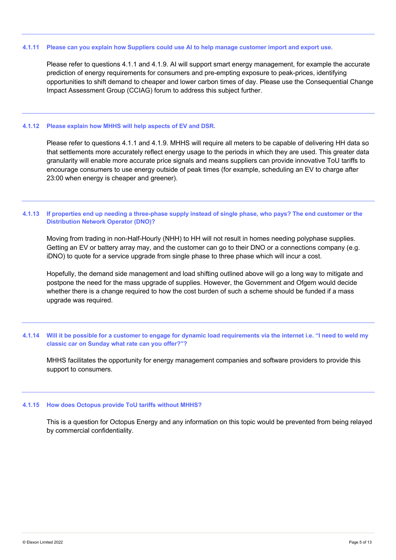#### **4.1.11 Please can you explain how Suppliers could use AI to help manage customer import and export use.**

Please refer to questions 4.1.1 and 4.1.9. AI will support smart energy management, for example the accurate prediction of energy requirements for consumers and pre-empting exposure to peak-prices, identifying opportunities to shift demand to cheaper and lower carbon times of day. Please use the Consequential Change Impact Assessment Group (CCIAG) forum to address this subject further.

#### **4.1.12 Please explain how MHHS will help aspects of EV and DSR.**

Please refer to questions 4.1.1 and 4.1.9. MHHS will require all meters to be capable of delivering HH data so that settlements more accurately reflect energy usage to the periods in which they are used. This greater data granularity will enable more accurate price signals and means suppliers can provide innovative ToU tariffs to encourage consumers to use energy outside of peak times (for example, scheduling an EV to charge after 23:00 when energy is cheaper and greener).

#### **4.1.13 If properties end up needing a three-phase supply instead of single phase, who pays? The end customer or the Distribution Network Operator (DNO)?**

Moving from trading in non-Half-Hourly (NHH) to HH will not result in homes needing polyphase supplies. Getting an EV or battery array may, and the customer can go to their DNO or a connections company (e.g. iDNO) to quote for a service upgrade from single phase to three phase which will incur a cost.

Hopefully, the demand side management and load shifting outlined above will go a long way to mitigate and postpone the need for the mass upgrade of supplies. However, the Government and Ofgem would decide whether there is a change required to how the cost burden of such a scheme should be funded if a mass upgrade was required.

#### **4.1.14 Will it be possible for a customer to engage for dynamic load requirements via the internet i.e. "I need to weld my classic car on Sunday what rate can you offer?"?**

MHHS facilitates the opportunity for energy management companies and software providers to provide this support to consumers.

#### **4.1.15 How does Octopus provide ToU tariffs without MHHS?**

This is a question for Octopus Energy and any information on this topic would be prevented from being relayed by commercial confidentiality.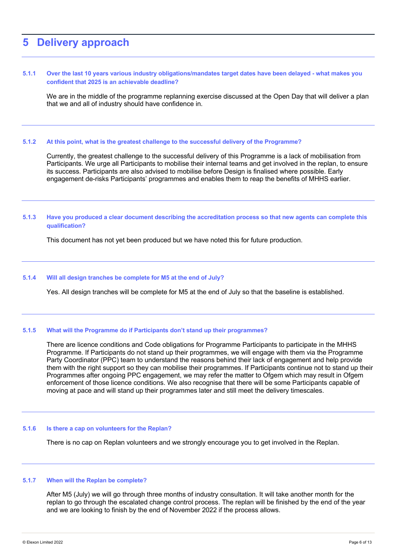### **5 Delivery approach**

#### **5.1.1 Over the last 10 years various industry obligations/mandates target dates have been delayed - what makes you confident that 2025 is an achievable deadline?**

We are in the middle of the programme replanning exercise discussed at the Open Day that will deliver a plan that we and all of industry should have confidence in.

#### **5.1.2 At this point, what is the greatest challenge to the successful delivery of the Programme?**

Currently, the greatest challenge to the successful delivery of this Programme is a lack of mobilisation from Participants. We urge all Participants to mobilise their internal teams and get involved in the replan, to ensure its success. Participants are also advised to mobilise before Design is finalised where possible. Early engagement de-risks Participants' programmes and enables them to reap the benefits of MHHS earlier.

#### **5.1.3 Have you produced a clear document describing the accreditation process so that new agents can complete this qualification?**

This document has not yet been produced but we have noted this for future production.

#### **5.1.4 Will all design tranches be complete for M5 at the end of July?**

Yes. All design tranches will be complete for M5 at the end of July so that the baseline is established.

#### **5.1.5 What will the Programme do if Participants don't stand up their programmes?**

There are licence conditions and Code obligations for Programme Participants to participate in the MHHS Programme. If Participants do not stand up their programmes, we will engage with them via the Programme Party Coordinator (PPC) team to understand the reasons behind their lack of engagement and help provide them with the right support so they can mobilise their programmes. If Participants continue not to stand up their Programmes after ongoing PPC engagement, we may refer the matter to Ofgem which may result in Ofgem enforcement of those licence conditions. We also recognise that there will be some Participants capable of moving at pace and will stand up their programmes later and still meet the delivery timescales.

#### **5.1.6 Is there a cap on volunteers for the Replan?**

There is no cap on Replan volunteers and we strongly encourage you to get involved in the Replan.

#### **5.1.7 When will the Replan be complete?**

After M5 (July) we will go through three months of industry consultation. It will take another month for the replan to go through the escalated change control process. The replan will be finished by the end of the year and we are looking to finish by the end of November 2022 if the process allows.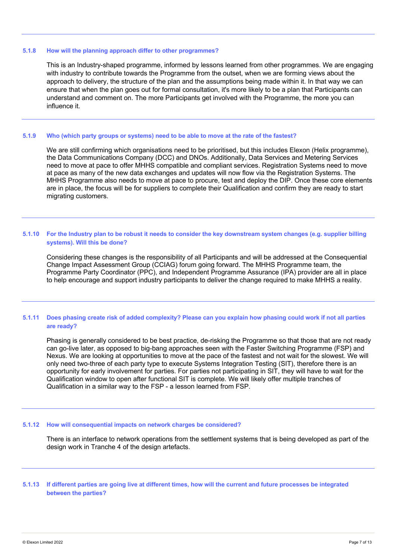#### **5.1.8 How will the planning approach differ to other programmes?**

This is an Industry-shaped programme, informed by lessons learned from other programmes. We are engaging with industry to contribute towards the Programme from the outset, when we are forming views about the approach to delivery, the structure of the plan and the assumptions being made within it. In that way we can ensure that when the plan goes out for formal consultation, it's more likely to be a plan that Participants can understand and comment on. The more Participants get involved with the Programme, the more you can influence it.

#### **5.1.9 Who (which party groups or systems) need to be able to move at the rate of the fastest?**

We are still confirming which organisations need to be prioritised, but this includes Elexon (Helix programme), the Data Communications Company (DCC) and DNOs. Additionally, Data Services and Metering Services need to move at pace to offer MHHS compatible and compliant services. Registration Systems need to move at pace as many of the new data exchanges and updates will now flow via the Registration Systems. The MHHS Programme also needs to move at pace to procure, test and deploy the DIP. Once these core elements are in place, the focus will be for suppliers to complete their Qualification and confirm they are ready to start migrating customers.

#### **5.1.10 For the Industry plan to be robust it needs to consider the key downstream system changes (e.g. supplier billing systems). Will this be done?**

Considering these changes is the responsibility of all Participants and will be addressed at the Consequential Change Impact Assessment Group (CCIAG) forum going forward. The MHHS Programme team, the Programme Party Coordinator (PPC), and Independent Programme Assurance (IPA) provider are all in place to help encourage and support industry participants to deliver the change required to make MHHS a reality.

#### **5.1.11 Does phasing create risk of added complexity? Please can you explain how phasing could work if not all parties are ready?**

Phasing is generally considered to be best practice, de-risking the Programme so that those that are not ready can go-live later, as opposed to big-bang approaches seen with the Faster Switching Programme (FSP) and Nexus. We are looking at opportunities to move at the pace of the fastest and not wait for the slowest. We will only need two-three of each party type to execute Systems Integration Testing (SIT), therefore there is an opportunity for early involvement for parties. For parties not participating in SIT, they will have to wait for the Qualification window to open after functional SIT is complete. We will likely offer multiple tranches of Qualification in a similar way to the FSP - a lesson learned from FSP.

#### **5.1.12 How will consequential impacts on network charges be considered?**

There is an interface to network operations from the settlement systems that is being developed as part of the design work in Tranche 4 of the design artefacts.

**5.1.13 If different parties are going live at different times, how will the current and future processes be integrated between the parties?**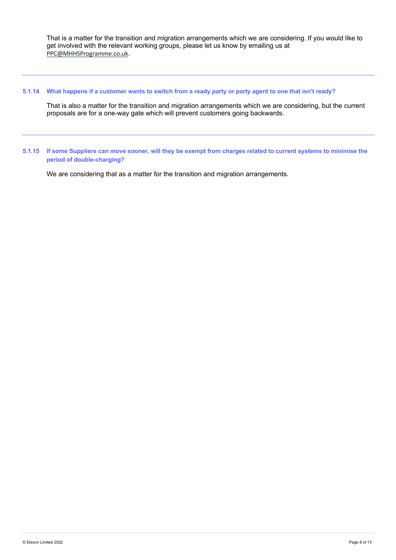That is a matter for the transition and migration arrangements which we are considering. If you would like to get involved with the relevant working groups, please let us know by emailing us at PPC@MHHSProgramme.co.uk.

#### **5.1.14 What happens if a customer wants to switch from a ready party or party agent to one that isn't ready?**

That is also a matter for the transition and migration arrangements which we are considering, but the current proposals are for a one-way gate which will prevent customers going backwards.

**5.1.15 If some Suppliers can move sooner, will they be exempt from charges related to current systems to minimise the period of double-charging?**

We are considering that as a matter for the transition and migration arrangements.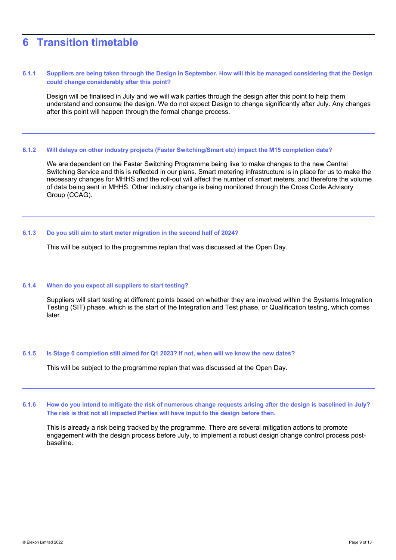## **6 Transition timetable**

#### **6.1.1 Suppliers are being taken through the Design in September. How will this be managed considering that the Design could change considerably after this point?**

Design will be finalised in July and we will walk parties through the design after this point to help them understand and consume the design. We do not expect Design to change significantly after July. Any changes after this point will happen through the formal change process.

#### **6.1.2 Will delays on other industry projects (Faster Switching/Smart etc) impact the M15 completion date?**

We are dependent on the Faster Switching Programme being live to make changes to the new Central Switching Service and this is reflected in our plans. Smart metering infrastructure is in place for us to make the necessary changes for MHHS and the roll-out will affect the number of smart meters, and therefore the volume of data being sent in MHHS. Other industry change is being monitored through the Cross Code Advisory Group (CCAG).

#### **6.1.3 Do you still aim to start meter migration in the second half of 2024?**

This will be subject to the programme replan that was discussed at the Open Day.

#### **6.1.4 When do you expect all suppliers to start testing?**

Suppliers will start testing at different points based on whether they are involved within the Systems Integration Testing (SIT) phase, which is the start of the Integration and Test phase, or Qualification testing, which comes later.

#### **6.1.5 Is Stage 0 completion still aimed for Q1 2023? If not, when will we know the new dates?**

This will be subject to the programme replan that was discussed at the Open Day.

#### **6.1.6 How do you intend to mitigate the risk of numerous change requests arising after the design is baselined in July? The risk is that not all impacted Parties will have input to the design before then.**

This is already a risk being tracked by the programme. There are several mitigation actions to promote engagement with the design process before July, to implement a robust design change control process postbaseline.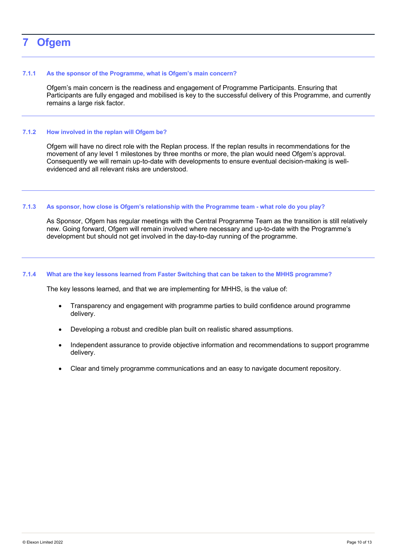## **7 Ofgem**

#### **7.1.1 As the sponsor of the Programme, what is Ofgem's main concern?**

Ofgem's main concern is the readiness and engagement of Programme Participants. Ensuring that Participants are fully engaged and mobilised is key to the successful delivery of this Programme, and currently remains a large risk factor.

#### **7.1.2 How involved in the replan will Ofgem be?**

Ofgem will have no direct role with the Replan process. If the replan results in recommendations for the movement of any level 1 milestones by three months or more, the plan would need Ofgem's approval. Consequently we will remain up-to-date with developments to ensure eventual decision-making is wellevidenced and all relevant risks are understood.

#### **7.1.3 As sponsor, how close is Ofgem's relationship with the Programme team - what role do you play?**

As Sponsor, Ofgem has regular meetings with the Central Programme Team as the transition is still relatively new. Going forward, Ofgem will remain involved where necessary and up-to-date with the Programme's development but should not get involved in the day-to-day running of the programme.

#### **7.1.4 What are the key lessons learned from Faster Switching that can be taken to the MHHS programme?**

The key lessons learned, and that we are implementing for MHHS, is the value of:

- Transparency and engagement with programme parties to build confidence around programme delivery.
- Developing a robust and credible plan built on realistic shared assumptions.
- Independent assurance to provide objective information and recommendations to support programme delivery.
- Clear and timely programme communications and an easy to navigate document repository.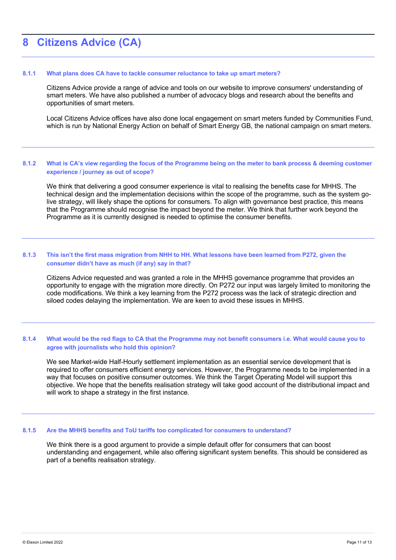## **8 Citizens Advice (CA)**

#### **8.1.1 What plans does CA have to tackle consumer reluctance to take up smart meters?**

Citizens Advice provide a range of advice and tools on our website to improve consumers' understanding of smart meters. We have also published a number of advocacy blogs and research about the benefits and opportunities of smart meters.

Local Citizens Advice offices have also done local engagement on smart meters funded by Communities Fund, which is run by National Energy Action on behalf of Smart Energy GB, the national campaign on smart meters.

#### **8.1.2 What is CA's view regarding the focus of the Programme being on the meter to bank process & deeming customer experience / journey as out of scope?**

We think that delivering a good consumer experience is vital to realising the benefits case for MHHS. The technical design and the implementation decisions within the scope of the programme, such as the system golive strategy, will likely shape the options for consumers. To align with governance best practice, this means that the Programme should recognise the impact beyond the meter. We think that further work beyond the Programme as it is currently designed is needed to optimise the consumer benefits.

#### **8.1.3 This isn't the first mass migration from NHH to HH. What lessons have been learned from P272, given the consumer didn't have as much (if any) say in that?**

Citizens Advice requested and was granted a role in the MHHS governance programme that provides an opportunity to engage with the migration more directly. On P272 our input was largely limited to monitoring the code modifications. We think a key learning from the P272 process was the lack of strategic direction and siloed codes delaying the implementation. We are keen to avoid these issues in MHHS.

#### **8.1.4 What would be the red flags to CA that the Programme may not benefit consumers i.e. What would cause you to agree with journalists who hold this opinion?**

We see Market-wide Half-Hourly settlement implementation as an essential service development that is required to offer consumers efficient energy services. However, the Programme needs to be implemented in a way that focuses on positive consumer outcomes. We think the Target Operating Model will support this objective. We hope that the benefits realisation strategy will take good account of the distributional impact and will work to shape a strategy in the first instance.

#### **8.1.5 Are the MHHS benefits and ToU tariffs too complicated for consumers to understand?**

We think there is a good argument to provide a simple default offer for consumers that can boost understanding and engagement, while also offering significant system benefits. This should be considered as part of a benefits realisation strategy.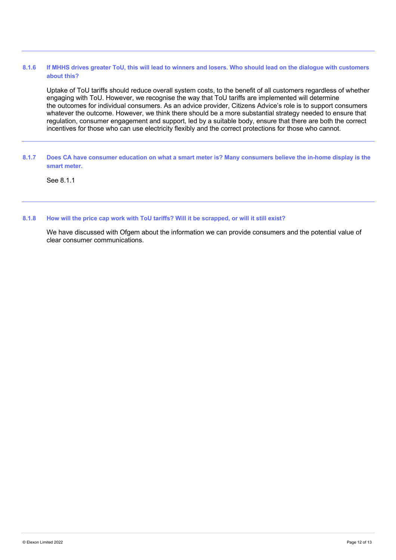#### **8.1.6 If MHHS drives greater ToU, this will lead to winners and losers. Who should lead on the dialogue with customers about this?**

Uptake of ToU tariffs should reduce overall system costs, to the benefit of all customers regardless of whether engaging with ToU. However, we recognise the way that ToU tariffs are implemented will determine the outcomes for individual consumers. As an advice provider, Citizens Advice's role is to support consumers whatever the outcome. However, we think there should be a more substantial strategy needed to ensure that regulation, consumer engagement and support, led by a suitable body, ensure that there are both the correct incentives for those who can use electricity flexibly and the correct protections for those who cannot.

#### **8.1.7 Does CA have consumer education on what a smart meter is? Many consumers believe the in-home display is the smart meter.**

See 8.1.1

#### **8.1.8 How will the price cap work with ToU tariffs? Will it be scrapped, or will it still exist?**

We have discussed with Ofgem about the information we can provide consumers and the potential value of clear consumer communications.